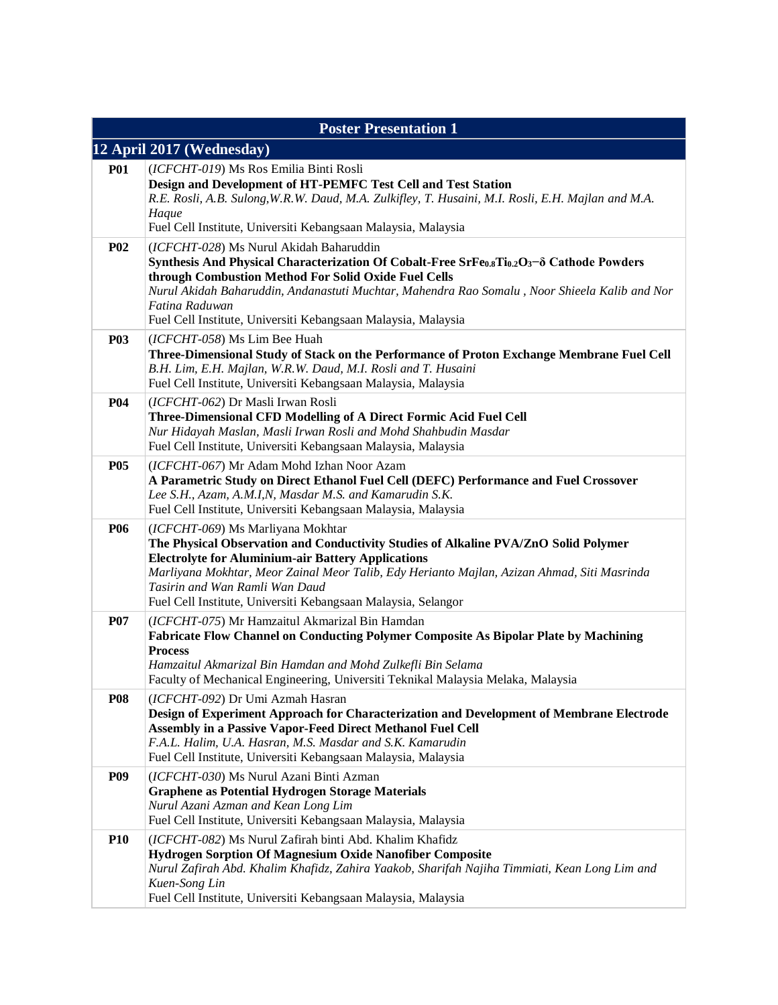| <b>Poster Presentation 1</b> |                                                                                                                                                                                                                                                                                                                                                                                                                       |  |
|------------------------------|-----------------------------------------------------------------------------------------------------------------------------------------------------------------------------------------------------------------------------------------------------------------------------------------------------------------------------------------------------------------------------------------------------------------------|--|
| 12 April 2017 (Wednesday)    |                                                                                                                                                                                                                                                                                                                                                                                                                       |  |
| <b>P01</b>                   | (ICFCHT-019) Ms Ros Emilia Binti Rosli<br>Design and Development of HT-PEMFC Test Cell and Test Station<br>R.E. Rosli, A.B. Sulong, W.R.W. Daud, M.A. Zulkifley, T. Husaini, M.I. Rosli, E.H. Majlan and M.A.<br>Haque<br>Fuel Cell Institute, Universiti Kebangsaan Malaysia, Malaysia                                                                                                                               |  |
| <b>P02</b>                   | (ICFCHT-028) Ms Nurul Akidah Baharuddin<br>Synthesis And Physical Characterization Of Cobalt-Free SrFe <sub>0.8</sub> Ti <sub>0.2</sub> O <sub>3</sub> -8 Cathode Powders<br>through Combustion Method For Solid Oxide Fuel Cells<br>Nurul Akidah Baharuddin, Andanastuti Muchtar, Mahendra Rao Somalu, Noor Shieela Kalib and Nor<br>Fatina Raduwan<br>Fuel Cell Institute, Universiti Kebangsaan Malaysia, Malaysia |  |
| <b>P03</b>                   | (ICFCHT-058) Ms Lim Bee Huah<br>Three-Dimensional Study of Stack on the Performance of Proton Exchange Membrane Fuel Cell<br>B.H. Lim, E.H. Majlan, W.R.W. Daud, M.I. Rosli and T. Husaini<br>Fuel Cell Institute, Universiti Kebangsaan Malaysia, Malaysia                                                                                                                                                           |  |
| <b>P04</b>                   | (ICFCHT-062) Dr Masli Irwan Rosli<br>Three-Dimensional CFD Modelling of A Direct Formic Acid Fuel Cell<br>Nur Hidayah Maslan, Masli Irwan Rosli and Mohd Shahbudin Masdar<br>Fuel Cell Institute, Universiti Kebangsaan Malaysia, Malaysia                                                                                                                                                                            |  |
| <b>P05</b>                   | (ICFCHT-067) Mr Adam Mohd Izhan Noor Azam<br>A Parametric Study on Direct Ethanol Fuel Cell (DEFC) Performance and Fuel Crossover<br>Lee S.H., Azam, A.M.I,N, Masdar M.S. and Kamarudin S.K.<br>Fuel Cell Institute, Universiti Kebangsaan Malaysia, Malaysia                                                                                                                                                         |  |
| <b>P06</b>                   | (ICFCHT-069) Ms Marliyana Mokhtar<br>The Physical Observation and Conductivity Studies of Alkaline PVA/ZnO Solid Polymer<br><b>Electrolyte for Aluminium-air Battery Applications</b><br>Marliyana Mokhtar, Meor Zainal Meor Talib, Edy Herianto Majlan, Azizan Ahmad, Siti Masrinda<br>Tasirin and Wan Ramli Wan Daud<br>Fuel Cell Institute, Universiti Kebangsaan Malaysia, Selangor                               |  |
| <b>P07</b>                   | (ICFCHT-075) Mr Hamzaitul Akmarizal Bin Hamdan<br>Fabricate Flow Channel on Conducting Polymer Composite As Bipolar Plate by Machining<br><b>Process</b><br>Hamzaitul Akmarizal Bin Hamdan and Mohd Zulkefli Bin Selama<br>Faculty of Mechanical Engineering, Universiti Teknikal Malaysia Melaka, Malaysia                                                                                                           |  |
| <b>P08</b>                   | (ICFCHT-092) Dr Umi Azmah Hasran<br>Design of Experiment Approach for Characterization and Development of Membrane Electrode<br>Assembly in a Passive Vapor-Feed Direct Methanol Fuel Cell<br>F.A.L. Halim, U.A. Hasran, M.S. Masdar and S.K. Kamarudin<br>Fuel Cell Institute, Universiti Kebangsaan Malaysia, Malaysia                                                                                              |  |
| <b>P09</b>                   | (ICFCHT-030) Ms Nurul Azani Binti Azman<br><b>Graphene as Potential Hydrogen Storage Materials</b><br>Nurul Azani Azman and Kean Long Lim<br>Fuel Cell Institute, Universiti Kebangsaan Malaysia, Malaysia                                                                                                                                                                                                            |  |
| <b>P10</b>                   | (ICFCHT-082) Ms Nurul Zafirah binti Abd. Khalim Khafidz<br><b>Hydrogen Sorption Of Magnesium Oxide Nanofiber Composite</b><br>Nurul Zafirah Abd. Khalim Khafidz, Zahira Yaakob, Sharifah Najiha Timmiati, Kean Long Lim and<br>Kuen-Song Lin<br>Fuel Cell Institute, Universiti Kebangsaan Malaysia, Malaysia                                                                                                         |  |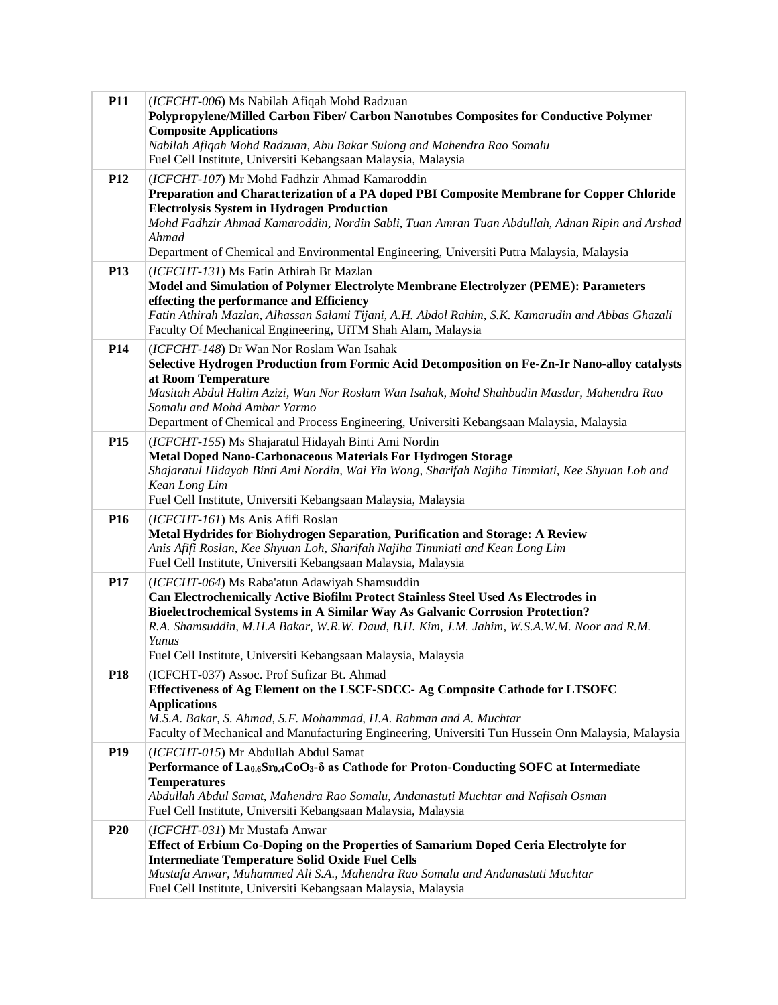| <b>P11</b>      | (ICFCHT-006) Ms Nabilah Afiqah Mohd Radzuan                                                                                                                         |
|-----------------|---------------------------------------------------------------------------------------------------------------------------------------------------------------------|
|                 | Polypropylene/Milled Carbon Fiber/ Carbon Nanotubes Composites for Conductive Polymer<br><b>Composite Applications</b>                                              |
|                 | Nabilah Afiqah Mohd Radzuan, Abu Bakar Sulong and Mahendra Rao Somalu                                                                                               |
|                 | Fuel Cell Institute, Universiti Kebangsaan Malaysia, Malaysia                                                                                                       |
| <b>P12</b>      | (ICFCHT-107) Mr Mohd Fadhzir Ahmad Kamaroddin                                                                                                                       |
|                 | Preparation and Characterization of a PA doped PBI Composite Membrane for Copper Chloride<br><b>Electrolysis System in Hydrogen Production</b>                      |
|                 | Mohd Fadhzir Ahmad Kamaroddin, Nordin Sabli, Tuan Amran Tuan Abdullah, Adnan Ripin and Arshad                                                                       |
|                 | Ahmad                                                                                                                                                               |
|                 | Department of Chemical and Environmental Engineering, Universiti Putra Malaysia, Malaysia                                                                           |
| P <sub>13</sub> | (ICFCHT-131) Ms Fatin Athirah Bt Mazlan<br>Model and Simulation of Polymer Electrolyte Membrane Electrolyzer (PEME): Parameters                                     |
|                 | effecting the performance and Efficiency                                                                                                                            |
|                 | Fatin Athirah Mazlan, Alhassan Salami Tijani, A.H. Abdol Rahim, S.K. Kamarudin and Abbas Ghazali<br>Faculty Of Mechanical Engineering, UiTM Shah Alam, Malaysia     |
| P <sub>14</sub> | (ICFCHT-148) Dr Wan Nor Roslam Wan Isahak                                                                                                                           |
|                 | Selective Hydrogen Production from Formic Acid Decomposition on Fe-Zn-Ir Nano-alloy catalysts<br>at Room Temperature                                                |
|                 | Masitah Abdul Halim Azizi, Wan Nor Roslam Wan Isahak, Mohd Shahbudin Masdar, Mahendra Rao                                                                           |
|                 | Somalu and Mohd Ambar Yarmo                                                                                                                                         |
|                 | Department of Chemical and Process Engineering, Universiti Kebangsaan Malaysia, Malaysia                                                                            |
| P <sub>15</sub> | (ICFCHT-155) Ms Shajaratul Hidayah Binti Ami Nordin<br><b>Metal Doped Nano-Carbonaceous Materials For Hydrogen Storage</b>                                          |
|                 | Shajaratul Hidayah Binti Ami Nordin, Wai Yin Wong, Sharifah Najiha Timmiati, Kee Shyuan Loh and                                                                     |
|                 | Kean Long Lim                                                                                                                                                       |
|                 | Fuel Cell Institute, Universiti Kebangsaan Malaysia, Malaysia                                                                                                       |
| P <sub>16</sub> | (ICFCHT-161) Ms Anis Afifi Roslan<br>Metal Hydrides for Biohydrogen Separation, Purification and Storage: A Review                                                  |
|                 | Anis Afifi Roslan, Kee Shyuan Loh, Sharifah Najiha Timmiati and Kean Long Lim                                                                                       |
|                 | Fuel Cell Institute, Universiti Kebangsaan Malaysia, Malaysia                                                                                                       |
| <b>P17</b>      | (ICFCHT-064) Ms Raba'atun Adawiyah Shamsuddin                                                                                                                       |
|                 | Can Electrochemically Active Biofilm Protect Stainless Steel Used As Electrodes in<br>Bioelectrochemical Systems in A Similar Way As Galvanic Corrosion Protection? |
|                 | R.A. Shamsuddin, M.H.A Bakar, W.R.W. Daud, B.H. Kim, J.M. Jahim, W.S.A.W.M. Noor and R.M.                                                                           |
|                 | Yunus                                                                                                                                                               |
|                 | Fuel Cell Institute, Universiti Kebangsaan Malaysia, Malaysia                                                                                                       |
| P18             | (ICFCHT-037) Assoc. Prof Sufizar Bt. Ahmad<br>Effectiveness of Ag Element on the LSCF-SDCC- Ag Composite Cathode for LTSOFC                                         |
|                 | <b>Applications</b>                                                                                                                                                 |
|                 | M.S.A. Bakar, S. Ahmad, S.F. Mohammad, H.A. Rahman and A. Muchtar                                                                                                   |
| <b>P19</b>      | Faculty of Mechanical and Manufacturing Engineering, Universiti Tun Hussein Onn Malaysia, Malaysia                                                                  |
|                 | (ICFCHT-015) Mr Abdullah Abdul Samat<br>Performance of Lao.6Sro.4CoO <sub>3</sub> - $\delta$ as Cathode for Proton-Conducting SOFC at Intermediate                  |
|                 | <b>Temperatures</b>                                                                                                                                                 |
|                 | Abdullah Abdul Samat, Mahendra Rao Somalu, Andanastuti Muchtar and Nafisah Osman                                                                                    |
|                 | Fuel Cell Institute, Universiti Kebangsaan Malaysia, Malaysia                                                                                                       |
| <b>P20</b>      | (ICFCHT-031) Mr Mustafa Anwar<br>Effect of Erbium Co-Doping on the Properties of Samarium Doped Ceria Electrolyte for                                               |
|                 | <b>Intermediate Temperature Solid Oxide Fuel Cells</b>                                                                                                              |
|                 | Mustafa Anwar, Muhammed Ali S.A., Mahendra Rao Somalu and Andanastuti Muchtar                                                                                       |
|                 | Fuel Cell Institute, Universiti Kebangsaan Malaysia, Malaysia                                                                                                       |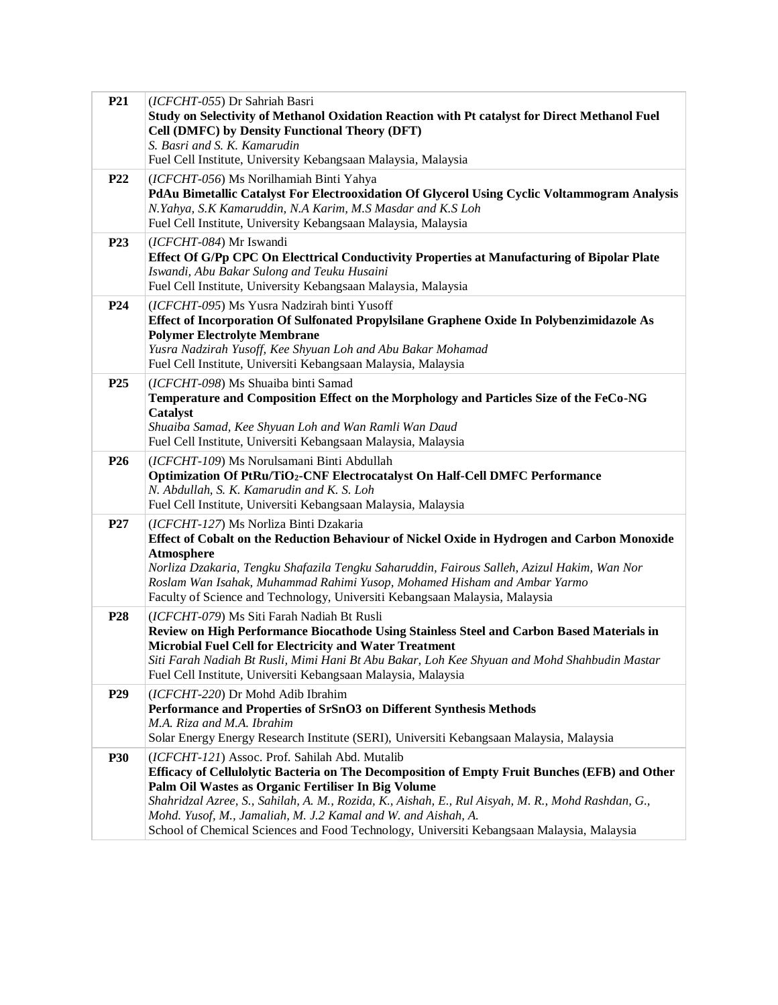| P <sub>21</sub> | (ICFCHT-055) Dr Sahriah Basri                                                                      |
|-----------------|----------------------------------------------------------------------------------------------------|
|                 | Study on Selectivity of Methanol Oxidation Reaction with Pt catalyst for Direct Methanol Fuel      |
|                 | Cell (DMFC) by Density Functional Theory (DFT)                                                     |
|                 | S. Basri and S. K. Kamarudin                                                                       |
|                 | Fuel Cell Institute, University Kebangsaan Malaysia, Malaysia                                      |
| <b>P22</b>      | (ICFCHT-056) Ms Norilhamiah Binti Yahya                                                            |
|                 | PdAu Bimetallic Catalyst For Electrooxidation Of Glycerol Using Cyclic Voltammogram Analysis       |
|                 | N.Yahya, S.K Kamaruddin, N.A Karim, M.S Masdar and K.S Loh                                         |
|                 | Fuel Cell Institute, University Kebangsaan Malaysia, Malaysia                                      |
| P <sub>23</sub> | (ICFCHT-084) Mr Iswandi                                                                            |
|                 | Effect Of G/Pp CPC On Electtrical Conductivity Properties at Manufacturing of Bipolar Plate        |
|                 | Iswandi, Abu Bakar Sulong and Teuku Husaini                                                        |
|                 | Fuel Cell Institute, University Kebangsaan Malaysia, Malaysia                                      |
| <b>P24</b>      | (ICFCHT-095) Ms Yusra Nadzirah binti Yusoff                                                        |
|                 | Effect of Incorporation Of Sulfonated Propylsilane Graphene Oxide In Polybenzimidazole As          |
|                 | <b>Polymer Electrolyte Membrane</b>                                                                |
|                 | Yusra Nadzirah Yusoff, Kee Shyuan Loh and Abu Bakar Mohamad                                        |
|                 | Fuel Cell Institute, Universiti Kebangsaan Malaysia, Malaysia                                      |
| P <sub>25</sub> | (ICFCHT-098) Ms Shuaiba binti Samad                                                                |
|                 | Temperature and Composition Effect on the Morphology and Particles Size of the FeCo-NG             |
|                 | Catalyst                                                                                           |
|                 | Shuaiba Samad, Kee Shyuan Loh and Wan Ramli Wan Daud                                               |
|                 | Fuel Cell Institute, Universiti Kebangsaan Malaysia, Malaysia                                      |
| P <sub>26</sub> | (ICFCHT-109) Ms Norulsamani Binti Abdullah                                                         |
|                 | <b>Optimization Of PtRu/TiO2-CNF Electrocatalyst On Half-Cell DMFC Performance</b>                 |
|                 | N. Abdullah, S. K. Kamarudin and K. S. Loh                                                         |
|                 | Fuel Cell Institute, Universiti Kebangsaan Malaysia, Malaysia                                      |
| P27             | (ICFCHT-127) Ms Norliza Binti Dzakaria                                                             |
|                 | Effect of Cobalt on the Reduction Behaviour of Nickel Oxide in Hydrogen and Carbon Monoxide        |
|                 | <b>Atmosphere</b>                                                                                  |
|                 | Norliza Dzakaria, Tengku Shafazila Tengku Saharuddin, Fairous Salleh, Azizul Hakim, Wan Nor        |
|                 | Roslam Wan Isahak, Muhammad Rahimi Yusop, Mohamed Hisham and Ambar Yarmo                           |
|                 | Faculty of Science and Technology, Universiti Kebangsaan Malaysia, Malaysia                        |
| P <sub>28</sub> | (ICFCHT-079) Ms Siti Farah Nadiah Bt Rusli                                                         |
|                 | Review on High Performance Biocathode Using Stainless Steel and Carbon Based Materials in          |
|                 | Microbial Fuel Cell for Electricity and Water Treatment                                            |
|                 | Siti Farah Nadiah Bt Rusli, Mimi Hani Bt Abu Bakar, Loh Kee Shyuan and Mohd Shahbudin Mastar       |
|                 | Fuel Cell Institute, Universiti Kebangsaan Malaysia, Malaysia                                      |
| P <sub>29</sub> | (ICFCHT-220) Dr Mohd Adib Ibrahim                                                                  |
|                 | Performance and Properties of SrSnO3 on Different Synthesis Methods                                |
|                 | M.A. Riza and M.A. Ibrahim                                                                         |
|                 | Solar Energy Energy Research Institute (SERI), Universiti Kebangsaan Malaysia, Malaysia            |
| <b>P30</b>      | (ICFCHT-121) Assoc. Prof. Sahilah Abd. Mutalib                                                     |
|                 | Efficacy of Cellulolytic Bacteria on The Decomposition of Empty Fruit Bunches (EFB) and Other      |
|                 | Palm Oil Wastes as Organic Fertiliser In Big Volume                                                |
|                 | Shahridzal Azree, S., Sahilah, A. M., Rozida, K., Aishah, E., Rul Aisyah, M. R., Mohd Rashdan, G., |
|                 | Mohd. Yusof, M., Jamaliah, M. J.2 Kamal and W. and Aishah, A.                                      |
|                 | School of Chemical Sciences and Food Technology, Universiti Kebangsaan Malaysia, Malaysia          |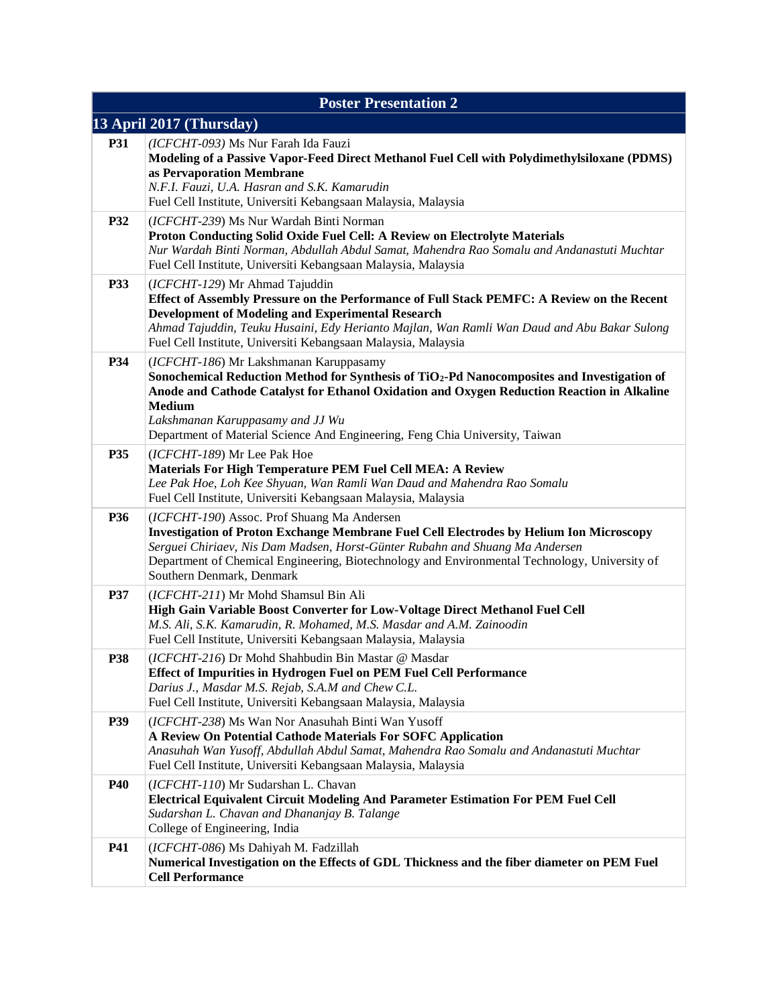| <b>Poster Presentation 2</b> |                                                                                                                                                                                                                                                                                                                                                                         |  |  |
|------------------------------|-------------------------------------------------------------------------------------------------------------------------------------------------------------------------------------------------------------------------------------------------------------------------------------------------------------------------------------------------------------------------|--|--|
| 13 April 2017 (Thursday)     |                                                                                                                                                                                                                                                                                                                                                                         |  |  |
| <b>P31</b>                   | (ICFCHT-093) Ms Nur Farah Ida Fauzi<br>Modeling of a Passive Vapor-Feed Direct Methanol Fuel Cell with Polydimethylsiloxane (PDMS)<br>as Pervaporation Membrane<br>N.F.I. Fauzi, U.A. Hasran and S.K. Kamarudin<br>Fuel Cell Institute, Universiti Kebangsaan Malaysia, Malaysia                                                                                        |  |  |
| P32                          | (ICFCHT-239) Ms Nur Wardah Binti Norman<br>Proton Conducting Solid Oxide Fuel Cell: A Review on Electrolyte Materials<br>Nur Wardah Binti Norman, Abdullah Abdul Samat, Mahendra Rao Somalu and Andanastuti Muchtar<br>Fuel Cell Institute, Universiti Kebangsaan Malaysia, Malaysia                                                                                    |  |  |
| P33                          | (ICFCHT-129) Mr Ahmad Tajuddin<br>Effect of Assembly Pressure on the Performance of Full Stack PEMFC: A Review on the Recent<br><b>Development of Modeling and Experimental Research</b><br>Ahmad Tajuddin, Teuku Husaini, Edy Herianto Majlan, Wan Ramli Wan Daud and Abu Bakar Sulong<br>Fuel Cell Institute, Universiti Kebangsaan Malaysia, Malaysia                |  |  |
| P34                          | (ICFCHT-186) Mr Lakshmanan Karuppasamy<br>Sonochemical Reduction Method for Synthesis of TiO2-Pd Nanocomposites and Investigation of<br>Anode and Cathode Catalyst for Ethanol Oxidation and Oxygen Reduction Reaction in Alkaline<br><b>Medium</b><br>Lakshmanan Karuppasamy and JJ Wu<br>Department of Material Science And Engineering, Feng Chia University, Taiwan |  |  |
| P35                          | (ICFCHT-189) Mr Lee Pak Hoe<br>Materials For High Temperature PEM Fuel Cell MEA: A Review<br>Lee Pak Hoe, Loh Kee Shyuan, Wan Ramli Wan Daud and Mahendra Rao Somalu<br>Fuel Cell Institute, Universiti Kebangsaan Malaysia, Malaysia                                                                                                                                   |  |  |
| P36                          | (ICFCHT-190) Assoc. Prof Shuang Ma Andersen<br><b>Investigation of Proton Exchange Membrane Fuel Cell Electrodes by Helium Ion Microscopy</b><br>Serguei Chiriaev, Nis Dam Madsen, Horst-Günter Rubahn and Shuang Ma Andersen<br>Department of Chemical Engineering, Biotechnology and Environmental Technology, University of<br>Southern Denmark, Denmark             |  |  |
| P37                          | (ICFCHT-211) Mr Mohd Shamsul Bin Ali<br>High Gain Variable Boost Converter for Low-Voltage Direct Methanol Fuel Cell<br>M.S. Ali, S.K. Kamarudin, R. Mohamed, M.S. Masdar and A.M. Zainoodin<br>Fuel Cell Institute, Universiti Kebangsaan Malaysia, Malaysia                                                                                                           |  |  |
| P38                          | (ICFCHT-216) Dr Mohd Shahbudin Bin Mastar @ Masdar<br>Effect of Impurities in Hydrogen Fuel on PEM Fuel Cell Performance<br>Darius J., Masdar M.S. Rejab, S.A.M and Chew C.L.<br>Fuel Cell Institute, Universiti Kebangsaan Malaysia, Malaysia                                                                                                                          |  |  |
| P39                          | (ICFCHT-238) Ms Wan Nor Anasuhah Binti Wan Yusoff<br>A Review On Potential Cathode Materials For SOFC Application<br>Anasuhah Wan Yusoff, Abdullah Abdul Samat, Mahendra Rao Somalu and Andanastuti Muchtar<br>Fuel Cell Institute, Universiti Kebangsaan Malaysia, Malaysia                                                                                            |  |  |
| <b>P40</b>                   | (ICFCHT-110) Mr Sudarshan L. Chavan<br>Electrical Equivalent Circuit Modeling And Parameter Estimation For PEM Fuel Cell<br>Sudarshan L. Chavan and Dhananjay B. Talange<br>College of Engineering, India                                                                                                                                                               |  |  |
| P41                          | (ICFCHT-086) Ms Dahiyah M. Fadzillah<br>Numerical Investigation on the Effects of GDL Thickness and the fiber diameter on PEM Fuel<br><b>Cell Performance</b>                                                                                                                                                                                                           |  |  |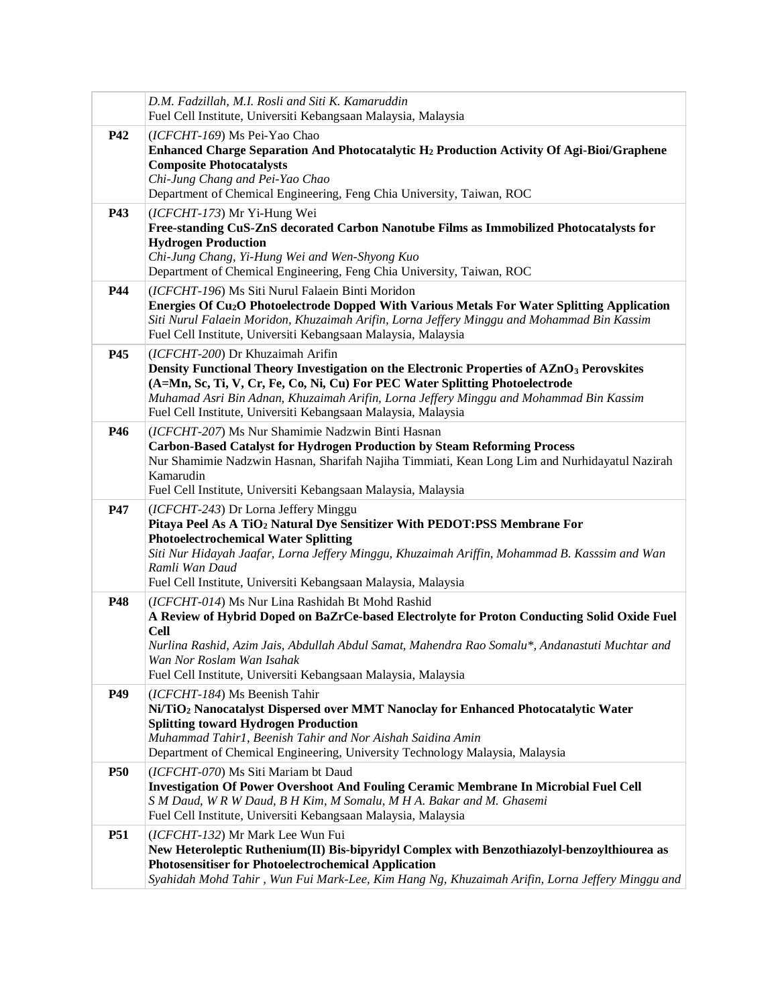|            | D.M. Fadzillah, M.I. Rosli and Siti K. Kamaruddin<br>Fuel Cell Institute, Universiti Kebangsaan Malaysia, Malaysia                                                                                                                                                                                                                                                                   |
|------------|--------------------------------------------------------------------------------------------------------------------------------------------------------------------------------------------------------------------------------------------------------------------------------------------------------------------------------------------------------------------------------------|
| <b>P42</b> | (ICFCHT-169) Ms Pei-Yao Chao<br>Enhanced Charge Separation And Photocatalytic H <sub>2</sub> Production Activity Of Agi-Bioi/Graphene<br><b>Composite Photocatalysts</b><br>Chi-Jung Chang and Pei-Yao Chao<br>Department of Chemical Engineering, Feng Chia University, Taiwan, ROC                                                                                                 |
| P43        | (ICFCHT-173) Mr Yi-Hung Wei<br>Free-standing CuS-ZnS decorated Carbon Nanotube Films as Immobilized Photocatalysts for<br><b>Hydrogen Production</b><br>Chi-Jung Chang, Yi-Hung Wei and Wen-Shyong Kuo<br>Department of Chemical Engineering, Feng Chia University, Taiwan, ROC                                                                                                      |
| <b>P44</b> | (ICFCHT-196) Ms Siti Nurul Falaein Binti Moridon<br>Energies Of Cu <sub>2</sub> O Photoelectrode Dopped With Various Metals For Water Splitting Application<br>Siti Nurul Falaein Moridon, Khuzaimah Arifin, Lorna Jeffery Minggu and Mohammad Bin Kassim<br>Fuel Cell Institute, Universiti Kebangsaan Malaysia, Malaysia                                                           |
| P45        | (ICFCHT-200) Dr Khuzaimah Arifin<br>Density Functional Theory Investigation on the Electronic Properties of AZnO <sub>3</sub> Perovskites<br>(A=Mn, Sc, Ti, V, Cr, Fe, Co, Ni, Cu) For PEC Water Splitting Photoelectrode<br>Muhamad Asri Bin Adnan, Khuzaimah Arifin, Lorna Jeffery Minggu and Mohammad Bin Kassim<br>Fuel Cell Institute, Universiti Kebangsaan Malaysia, Malaysia |
| <b>P46</b> | (ICFCHT-207) Ms Nur Shamimie Nadzwin Binti Hasnan<br><b>Carbon-Based Catalyst for Hydrogen Production by Steam Reforming Process</b><br>Nur Shamimie Nadzwin Hasnan, Sharifah Najiha Timmiati, Kean Long Lim and Nurhidayatul Nazirah<br>Kamarudin<br>Fuel Cell Institute, Universiti Kebangsaan Malaysia, Malaysia                                                                  |
| P47        | (ICFCHT-243) Dr Lorna Jeffery Minggu<br>Pitaya Peel As A TiO <sub>2</sub> Natural Dye Sensitizer With PEDOT:PSS Membrane For<br><b>Photoelectrochemical Water Splitting</b><br>Siti Nur Hidayah Jaafar, Lorna Jeffery Minggu, Khuzaimah Ariffin, Mohammad B. Kasssim and Wan<br>Ramli Wan Daud<br>Fuel Cell Institute, Universiti Kebangsaan Malaysia, Malaysia                      |
| P48        | (ICFCHT-014) Ms Nur Lina Rashidah Bt Mohd Rashid<br>A Review of Hybrid Doped on BaZrCe-based Electrolyte for Proton Conducting Solid Oxide Fuel<br><b>Cell</b><br>Nurlina Rashid, Azim Jais, Abdullah Abdul Samat, Mahendra Rao Somalu*, Andanastuti Muchtar and<br>Wan Nor Roslam Wan Isahak<br>Fuel Cell Institute, Universiti Kebangsaan Malaysia, Malaysia                       |
| P49        | (ICFCHT-184) Ms Beenish Tahir<br>Ni/TiO <sub>2</sub> Nanocatalyst Dispersed over MMT Nanoclay for Enhanced Photocatalytic Water<br><b>Splitting toward Hydrogen Production</b><br>Muhammad Tahir1, Beenish Tahir and Nor Aishah Saidina Amin<br>Department of Chemical Engineering, University Technology Malaysia, Malaysia                                                         |
| <b>P50</b> | (ICFCHT-070) Ms Siti Mariam bt Daud<br><b>Investigation Of Power Overshoot And Fouling Ceramic Membrane In Microbial Fuel Cell</b><br>S M Daud, WR W Daud, B H Kim, M Somalu, M H A. Bakar and M. Ghasemi<br>Fuel Cell Institute, Universiti Kebangsaan Malaysia, Malaysia                                                                                                           |
| <b>P51</b> | (ICFCHT-132) Mr Mark Lee Wun Fui<br>New Heteroleptic Ruthenium(II) Bis-bipyridyl Complex with Benzothiazolyl-benzoylthiourea as<br><b>Photosensitiser for Photoelectrochemical Application</b><br>Syahidah Mohd Tahir, Wun Fui Mark-Lee, Kim Hang Ng, Khuzaimah Arifin, Lorna Jeffery Minggu and                                                                                     |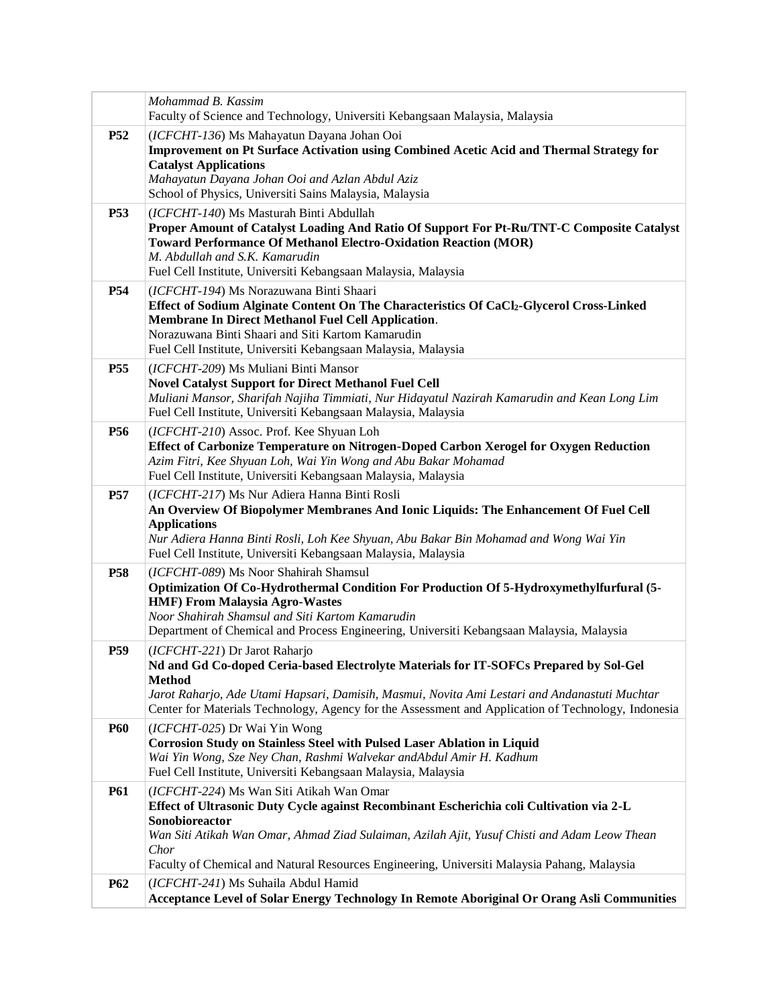|                 | Mohammad B. Kassim                                                                                                                                                                                                                                                                                                                                            |
|-----------------|---------------------------------------------------------------------------------------------------------------------------------------------------------------------------------------------------------------------------------------------------------------------------------------------------------------------------------------------------------------|
|                 | Faculty of Science and Technology, Universiti Kebangsaan Malaysia, Malaysia                                                                                                                                                                                                                                                                                   |
| <b>P52</b>      | (ICFCHT-136) Ms Mahayatun Dayana Johan Ooi<br><b>Improvement on Pt Surface Activation using Combined Acetic Acid and Thermal Strategy for</b><br><b>Catalyst Applications</b><br>Mahayatun Dayana Johan Ooi and Azlan Abdul Aziz<br>School of Physics, Universiti Sains Malaysia, Malaysia                                                                    |
| <b>P53</b>      | (ICFCHT-140) Ms Masturah Binti Abdullah<br>Proper Amount of Catalyst Loading And Ratio Of Support For Pt-Ru/TNT-C Composite Catalyst<br><b>Toward Performance Of Methanol Electro-Oxidation Reaction (MOR)</b><br>M. Abdullah and S.K. Kamarudin<br>Fuel Cell Institute, Universiti Kebangsaan Malaysia, Malaysia                                             |
| P <sub>54</sub> | (ICFCHT-194) Ms Norazuwana Binti Shaari<br>Effect of Sodium Alginate Content On The Characteristics Of CaCl2-Glycerol Cross-Linked<br>Membrane In Direct Methanol Fuel Cell Application.<br>Norazuwana Binti Shaari and Siti Kartom Kamarudin<br>Fuel Cell Institute, Universiti Kebangsaan Malaysia, Malaysia                                                |
| <b>P55</b>      | (ICFCHT-209) Ms Muliani Binti Mansor<br><b>Novel Catalyst Support for Direct Methanol Fuel Cell</b><br>Muliani Mansor, Sharifah Najiha Timmiati, Nur Hidayatul Nazirah Kamarudin and Kean Long Lim<br>Fuel Cell Institute, Universiti Kebangsaan Malaysia, Malaysia                                                                                           |
| P <sub>56</sub> | (ICFCHT-210) Assoc. Prof. Kee Shyuan Loh<br>Effect of Carbonize Temperature on Nitrogen-Doped Carbon Xerogel for Oxygen Reduction<br>Azim Fitri, Kee Shyuan Loh, Wai Yin Wong and Abu Bakar Mohamad<br>Fuel Cell Institute, Universiti Kebangsaan Malaysia, Malaysia                                                                                          |
| <b>P57</b>      | (ICFCHT-217) Ms Nur Adiera Hanna Binti Rosli<br>An Overview Of Biopolymer Membranes And Ionic Liquids: The Enhancement Of Fuel Cell<br><b>Applications</b><br>Nur Adiera Hanna Binti Rosli, Loh Kee Shyuan, Abu Bakar Bin Mohamad and Wong Wai Yin<br>Fuel Cell Institute, Universiti Kebangsaan Malaysia, Malaysia                                           |
| <b>P58</b>      | (ICFCHT-089) Ms Noor Shahirah Shamsul<br>Optimization Of Co-Hydrothermal Condition For Production Of 5-Hydroxymethylfurfural (5-<br><b>HMF)</b> From Malaysia Agro-Wastes<br>Noor Shahirah Shamsul and Siti Kartom Kamarudin<br>Department of Chemical and Process Engineering, Universiti Kebangsaan Malaysia, Malaysia                                      |
| <b>P59</b>      | (ICFCHT-221) Dr Jarot Raharjo<br>Nd and Gd Co-doped Ceria-based Electrolyte Materials for IT-SOFCs Prepared by Sol-Gel<br><b>Method</b><br>Jarot Raharjo, Ade Utami Hapsari, Damisih, Masmui, Novita Ami Lestari and Andanastuti Muchtar<br>Center for Materials Technology, Agency for the Assessment and Application of Technology, Indonesia               |
| <b>P60</b>      | (ICFCHT-025) Dr Wai Yin Wong<br>Corrosion Study on Stainless Steel with Pulsed Laser Ablation in Liquid<br>Wai Yin Wong, Sze Ney Chan, Rashmi Walvekar andAbdul Amir H. Kadhum<br>Fuel Cell Institute, Universiti Kebangsaan Malaysia, Malaysia                                                                                                               |
| <b>P61</b>      | (ICFCHT-224) Ms Wan Siti Atikah Wan Omar<br>Effect of Ultrasonic Duty Cycle against Recombinant Escherichia coli Cultivation via 2-L<br>Sonobioreactor<br>Wan Siti Atikah Wan Omar, Ahmad Ziad Sulaiman, Azilah Ajit, Yusuf Chisti and Adam Leow Thean<br>Chor<br>Faculty of Chemical and Natural Resources Engineering, Universiti Malaysia Pahang, Malaysia |
| P <sub>62</sub> | (ICFCHT-241) Ms Suhaila Abdul Hamid<br>Acceptance Level of Solar Energy Technology In Remote Aboriginal Or Orang Asli Communities                                                                                                                                                                                                                             |